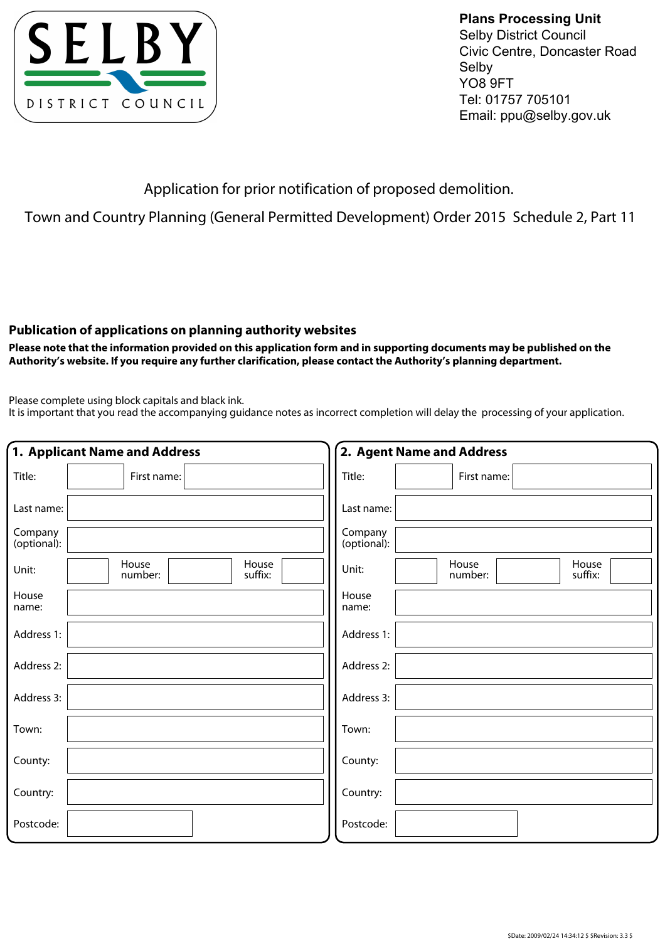

**Plans Processing Unit**  Selby District Council Civic Centre, Doncaster Road Selby YO8 9FT Tel: 01757 705101 Email: ppu@selby.gov.uk

Application for prior notification of proposed demolition.

Town and Country Planning (General Permitted Development) Order 2015 Schedule 2, Part 11

## **Publication of applications on planning authority websites**

**Please note that the information provided on this application form and in supporting documents may be published on the Authority's website. If you require any further clarification, please contact the Authority's planning department.**

Please complete using block capitals and black ink.

It is important that you read the accompanying guidance notes as incorrect completion will delay the processing of your application.

|                        | 1. Applicant Name and Address        | 2. Agent Name and Address                     |
|------------------------|--------------------------------------|-----------------------------------------------|
| Title:                 | First name:                          | Title:<br>First name:                         |
| Last name:             |                                      | Last name:                                    |
| Company<br>(optional): |                                      | Company<br>(optional):                        |
| Unit:                  | House<br>House<br>number:<br>suffix: | House<br>House<br>Unit:<br>number:<br>suffix: |
| House<br>name:         |                                      | House<br>name:                                |
| Address 1:             |                                      | Address 1:                                    |
| Address 2:             |                                      | Address 2:                                    |
| Address 3:             |                                      | Address 3:                                    |
| Town:                  |                                      | Town:                                         |
| County:                |                                      | County:                                       |
| Country:               |                                      | Country:                                      |
| Postcode:              |                                      | Postcode:                                     |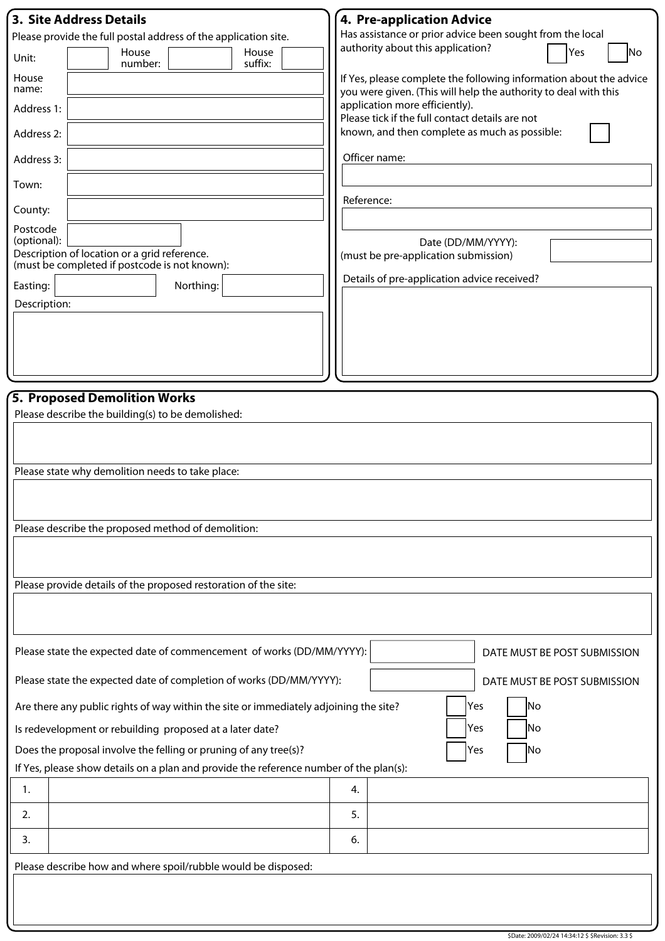| <b>3. Site Address Details</b>                                                                               | 4. Pre-application Advice                                                                                                             |  |  |  |
|--------------------------------------------------------------------------------------------------------------|---------------------------------------------------------------------------------------------------------------------------------------|--|--|--|
| Please provide the full postal address of the application site.                                              | Has assistance or prior advice been sought from the local<br>authority about this application?                                        |  |  |  |
| House<br>House<br>Unit:<br>suffix:<br>number:                                                                | Yes<br> No                                                                                                                            |  |  |  |
| House<br>name:                                                                                               | If Yes, please complete the following information about the advice<br>you were given. (This will help the authority to deal with this |  |  |  |
| Address 1:                                                                                                   | application more efficiently).<br>Please tick if the full contact details are not                                                     |  |  |  |
| Address 2:                                                                                                   | known, and then complete as much as possible:                                                                                         |  |  |  |
| Address 3:                                                                                                   | Officer name:                                                                                                                         |  |  |  |
| Town:                                                                                                        | Reference:                                                                                                                            |  |  |  |
| County:                                                                                                      |                                                                                                                                       |  |  |  |
| Postcode                                                                                                     |                                                                                                                                       |  |  |  |
| (optional):<br>Description of location or a grid reference.<br>(must be completed if postcode is not known): | Date (DD/MM/YYYY):<br>(must be pre-application submission)                                                                            |  |  |  |
| Northing:<br>Easting:                                                                                        | Details of pre-application advice received?                                                                                           |  |  |  |
| Description:                                                                                                 |                                                                                                                                       |  |  |  |
|                                                                                                              |                                                                                                                                       |  |  |  |
|                                                                                                              |                                                                                                                                       |  |  |  |
|                                                                                                              |                                                                                                                                       |  |  |  |
|                                                                                                              |                                                                                                                                       |  |  |  |
| 5. Proposed Demolition Works                                                                                 |                                                                                                                                       |  |  |  |
| Please describe the building(s) to be demolished:                                                            |                                                                                                                                       |  |  |  |
|                                                                                                              |                                                                                                                                       |  |  |  |
|                                                                                                              |                                                                                                                                       |  |  |  |
| Please state why demolition needs to take place:                                                             |                                                                                                                                       |  |  |  |
|                                                                                                              |                                                                                                                                       |  |  |  |
| Please describe the proposed method of demolition:                                                           |                                                                                                                                       |  |  |  |
|                                                                                                              |                                                                                                                                       |  |  |  |
|                                                                                                              |                                                                                                                                       |  |  |  |
| Please provide details of the proposed restoration of the site:                                              |                                                                                                                                       |  |  |  |
|                                                                                                              |                                                                                                                                       |  |  |  |
|                                                                                                              |                                                                                                                                       |  |  |  |
| Please state the expected date of commencement of works (DD/MM/YYYY):                                        | DATE MUST BE POST SUBMISSION                                                                                                          |  |  |  |
| Please state the expected date of completion of works (DD/MM/YYYY):<br>DATE MUST BE POST SUBMISSION          |                                                                                                                                       |  |  |  |
| No<br>Yes<br>Are there any public rights of way within the site or immediately adjoining the site?           |                                                                                                                                       |  |  |  |
| No<br>Is redevelopment or rebuilding proposed at a later date?<br>Yes                                        |                                                                                                                                       |  |  |  |
| Does the proposal involve the felling or pruning of any tree(s)?<br>No<br>Yes                                |                                                                                                                                       |  |  |  |
| If Yes, please show details on a plan and provide the reference number of the plan(s):                       |                                                                                                                                       |  |  |  |
| 1.                                                                                                           | 4.                                                                                                                                    |  |  |  |
| 2.                                                                                                           | 5.                                                                                                                                    |  |  |  |
| 3.                                                                                                           | 6.                                                                                                                                    |  |  |  |
| Please describe how and where spoil/rubble would be disposed:                                                |                                                                                                                                       |  |  |  |
|                                                                                                              |                                                                                                                                       |  |  |  |
|                                                                                                              |                                                                                                                                       |  |  |  |